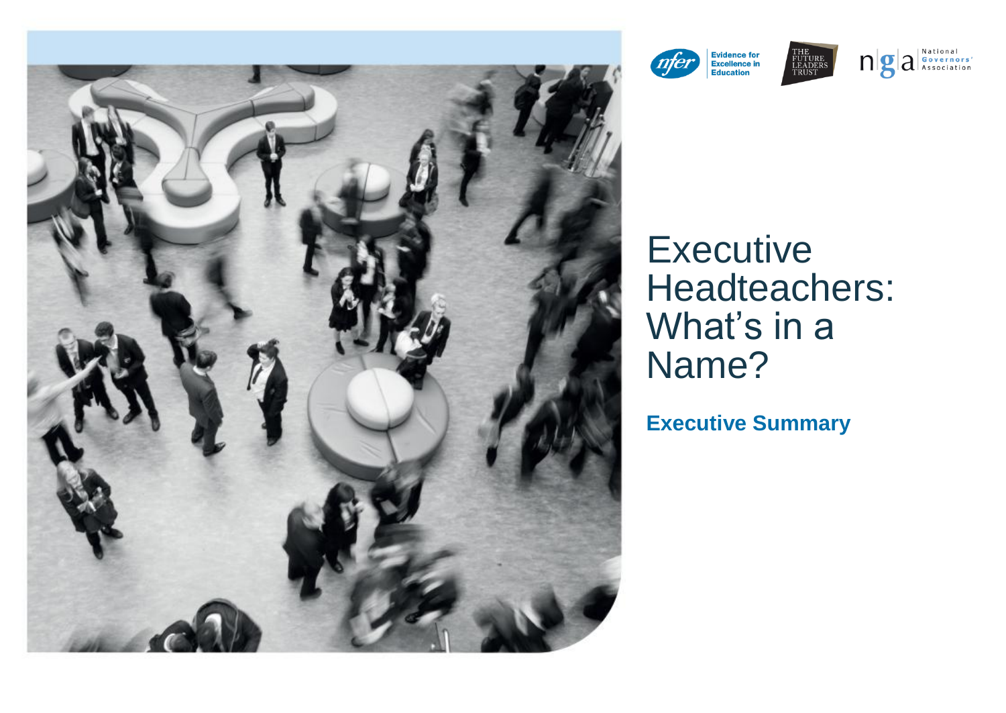



# **Executive** Headteachers: What's in a Name?

**Executive Summary**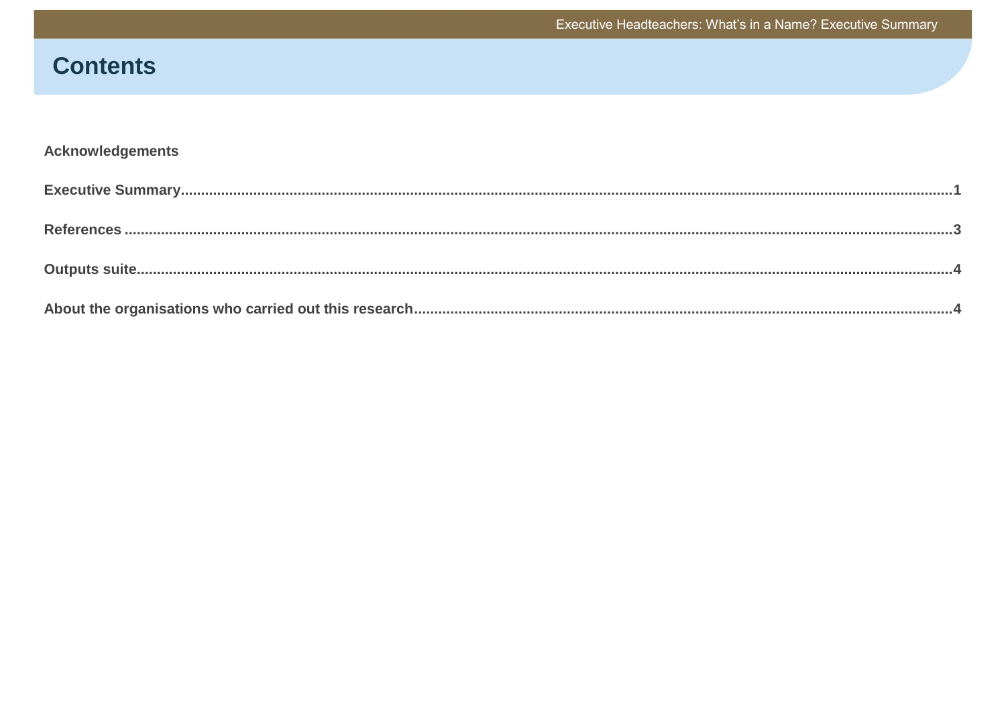Executive Headteachers: What's in a Name? Executive Summary

# **Contents**

# Acknowledgements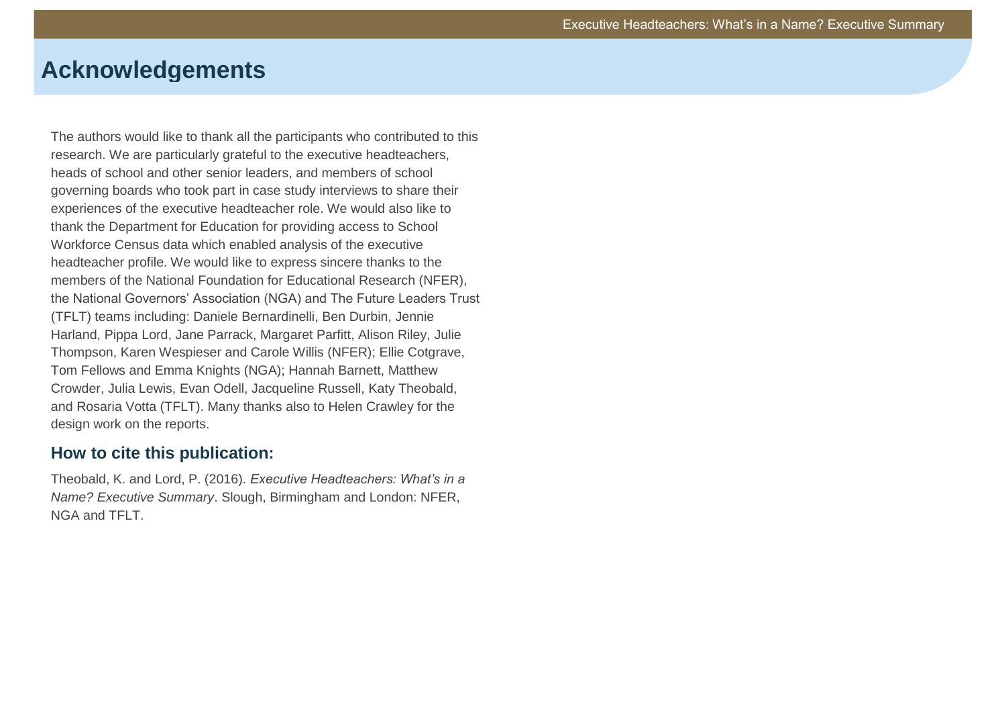# **Acknowledgements**

The authors would like to thank all the participants who contributed to this research. We are particularly grateful to the executive headteachers, heads of school and other senior leaders, and members of school governing boards who took part in case study interviews to share their experiences of the executive headteacher role. We would also like to thank the Department for Education for providing access to School Workforce Census data which enabled analysis of the executive headteacher profile. We would like to express sincere thanks to the members of the National Foundation for Educational Research (NFER), the National Governors' Association (NGA) and The Future Leaders Trust (TFLT) teams including: Daniele Bernardinelli, Ben Durbin, Jennie Harland, Pippa Lord, Jane Parrack, Margaret Parfitt, Alison Riley, Julie Thompson, Karen Wespieser and Carole Willis (NFER); Ellie Cotgrave, Tom Fellows and Emma Knights (NGA); Hannah Barnett, Matthew Crowder, Julia Lewis, Evan Odell, Jacqueline Russell, Katy Theobald, and Rosaria Votta (TFLT). Many thanks also to Helen Crawley for the design work on the reports.

### **How to cite this publication:**

Theobald, K. and Lord, P. (2016). *Executive Headteachers: What's in a Name? Executive Summary*. Slough, Birmingham and London: NFER, NGA and TFLT.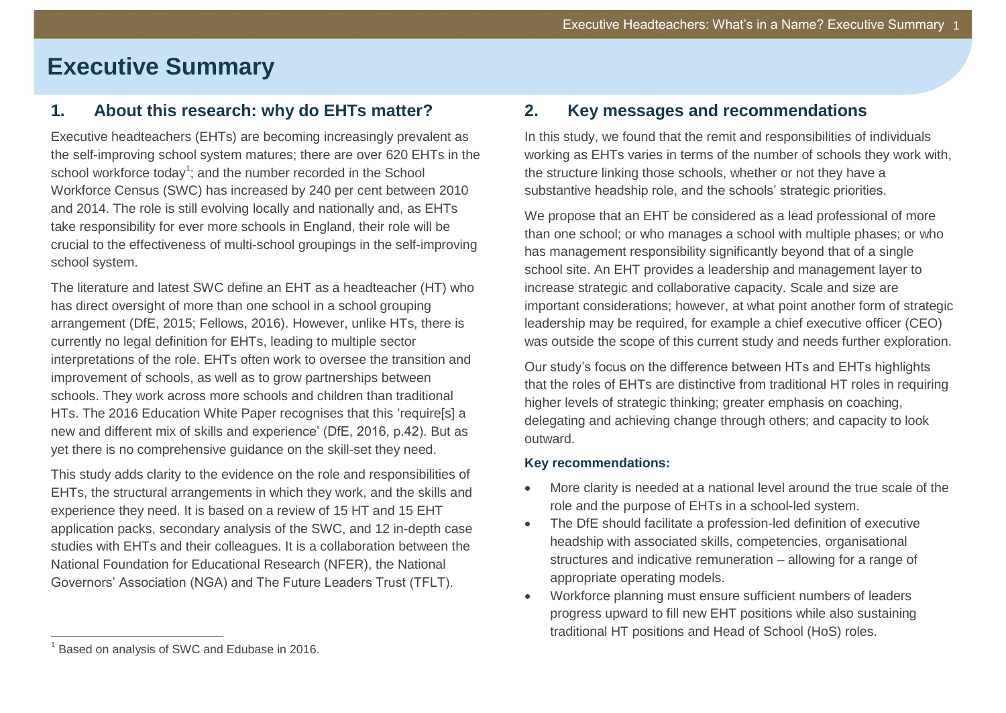# **Executive Summary**

### **1. About this research: why do EHTs matter?**

Executive headteachers (EHTs) are becoming increasingly prevalent as the self-improving school system matures; there are over 620 EHTs in the school workforce today<sup>1</sup>; and the number recorded in the School Workforce Census (SWC) has increased by 240 per cent between 2010 and 2014. The role is still evolving locally and nationally and, as EHTs take responsibility for ever more schools in England, their role will be crucial to the effectiveness of multi-school groupings in the self-improving school system.

The literature and latest SWC define an EHT as a headteacher (HT) who has direct oversight of more than one school in a school grouping arrangement (DfE, 2015; Fellows, 2016). However, unlike HTs, there is currently no legal definition for EHTs, leading to multiple sector interpretations of the role. EHTs often work to oversee the transition and improvement of schools, as well as to grow partnerships between schools. They work across more schools and children than traditional HTs. The 2016 Education White Paper recognises that this 'require[s] a new and different mix of skills and experience' (DfE, 2016, p.42). But as yet there is no comprehensive guidance on the skill-set they need.

This study adds clarity to the evidence on the role and responsibilities of EHTs, the structural arrangements in which they work, and the skills and experience they need. It is based on a review of 15 HT and 15 EHT application packs, secondary analysis of the SWC, and 12 in-depth case studies with EHTs and their colleagues. It is a collaboration between the National Foundation for Educational Research (NFER), the National Governors' Association (NGA) and The Future Leaders Trust (TFLT).

### **2. Key messages and recommendations**

In this study, we found that the remit and responsibilities of individuals working as EHTs varies in terms of the number of schools they work with, the structure linking those schools, whether or not they have a substantive headship role, and the schools' strategic priorities.

We propose that an EHT be considered as a lead professional of more than one school; or who manages a school with multiple phases; or who has management responsibility significantly beyond that of a single school site. An EHT provides a leadership and management layer to increase strategic and collaborative capacity. Scale and size are important considerations; however, at what point another form of strategic leadership may be required, for example a chief executive officer (CEO) was outside the scope of this current study and needs further exploration.

Our study's focus on the difference between HTs and EHTs highlights that the roles of EHTs are distinctive from traditional HT roles in requiring higher levels of strategic thinking; greater emphasis on coaching, delegating and achieving change through others; and capacity to look outward.

#### **Key recommendations:**

- More clarity is needed at a national level around the true scale of the role and the purpose of EHTs in a school-led system.
- The DfE should facilitate a profession-led definition of executive headship with associated skills, competencies, organisational structures and indicative remuneration – allowing for a range of appropriate operating models.
- Workforce planning must ensure sufficient numbers of leaders progress upward to fill new EHT positions while also sustaining traditional HT positions and Head of School (HoS) roles.

 $\overline{a}$ 

<sup>&</sup>lt;sup>1</sup> Based on analysis of SWC and Edubase in 2016.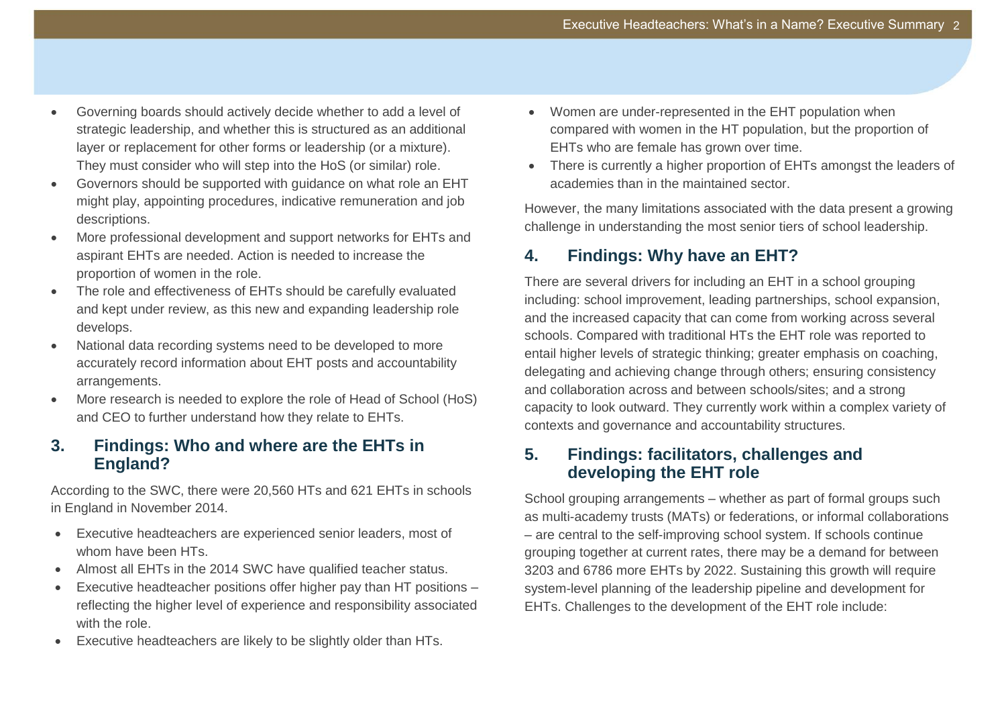- Governing boards should actively decide whether to add a level of strategic leadership, and whether this is structured as an additional layer or replacement for other forms or leadership (or a mixture). They must consider who will step into the HoS (or similar) role.
- Governors should be supported with guidance on what role an EHT might play, appointing procedures, indicative remuneration and job descriptions.
- More professional development and support networks for EHTs and aspirant EHTs are needed. Action is needed to increase the proportion of women in the role.
- The role and effectiveness of EHTs should be carefully evaluated and kept under review, as this new and expanding leadership role develops.
- National data recording systems need to be developed to more accurately record information about EHT posts and accountability arrangements.
- More research is needed to explore the role of Head of School (HoS) and CEO to further understand how they relate to EHTs.

### **3. Findings: Who and where are the EHTs in England?**

According to the SWC, there were 20,560 HTs and 621 EHTs in schools in England in November 2014.

- Executive headteachers are experienced senior leaders, most of whom have been HTs.
- Almost all EHTs in the 2014 SWC have qualified teacher status.
- Executive headteacher positions offer higher pay than HT positions reflecting the higher level of experience and responsibility associated with the role.
- Executive headteachers are likely to be slightly older than HTs.
- Women are under-represented in the EHT population when compared with women in the HT population, but the proportion of EHTs who are female has grown over time.
- There is currently a higher proportion of EHTs amongst the leaders of academies than in the maintained sector.

However, the many limitations associated with the data present a growing challenge in understanding the most senior tiers of school leadership.

# **4. Findings: Why have an EHT?**

There are several drivers for including an EHT in a school grouping including: school improvement, leading partnerships, school expansion, and the increased capacity that can come from working across several schools. Compared with traditional HTs the EHT role was reported to entail higher levels of strategic thinking; greater emphasis on coaching, delegating and achieving change through others; ensuring consistency and collaboration across and between schools/sites; and a strong capacity to look outward. They currently work within a complex variety of contexts and governance and accountability structures.

### **5. Findings: facilitators, challenges and developing the EHT role**

School grouping arrangements – whether as part of formal groups such as multi-academy trusts (MATs) or federations, or informal collaborations – are central to the self-improving school system. If schools continue grouping together at current rates, there may be a demand for between 3203 and 6786 more EHTs by 2022. Sustaining this growth will require system-level planning of the leadership pipeline and development for EHTs. Challenges to the development of the EHT role include: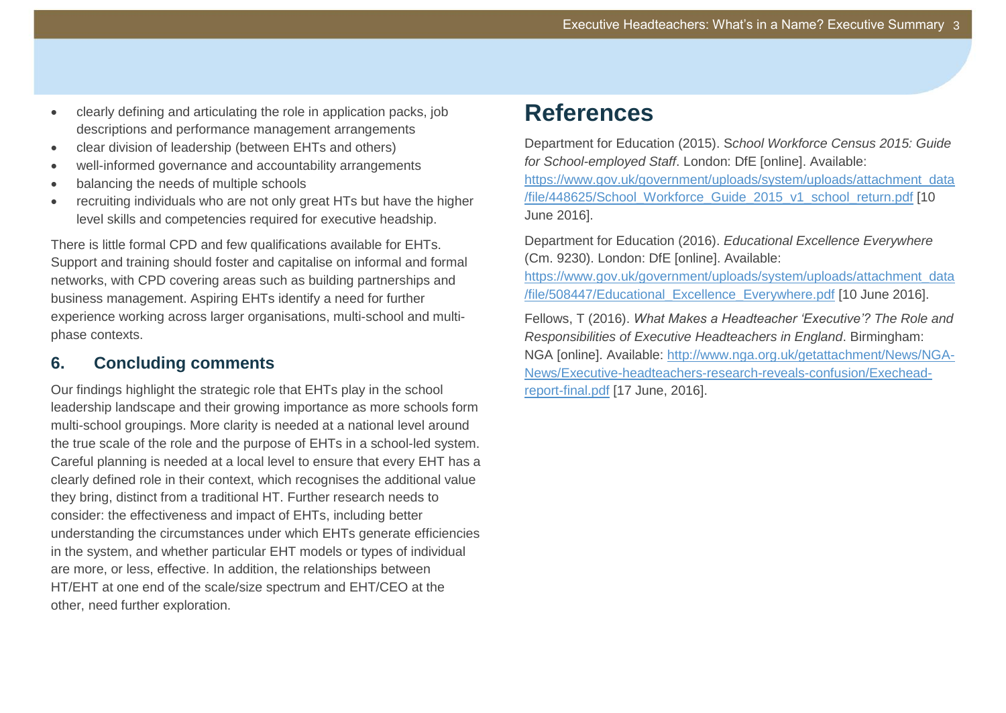- clearly defining and articulating the role in application packs, job descriptions and performance management arrangements
- clear division of leadership (between EHTs and others)
- well-informed governance and accountability arrangements
- balancing the needs of multiple schools
- recruiting individuals who are not only great HTs but have the higher level skills and competencies required for executive headship.

There is little formal CPD and few qualifications available for EHTs. Support and training should foster and capitalise on informal and formal networks, with CPD covering areas such as building partnerships and business management. Aspiring EHTs identify a need for further experience working across larger organisations, multi-school and multiphase contexts.

# **6. Concluding comments**

Our findings highlight the strategic role that EHTs play in the school leadership landscape and their growing importance as more schools form multi-school groupings. More clarity is needed at a national level around the true scale of the role and the purpose of EHTs in a school-led system. Careful planning is needed at a local level to ensure that every EHT has a clearly defined role in their context, which recognises the additional value they bring, distinct from a traditional HT. Further research needs to consider: the effectiveness and impact of EHTs, including better understanding the circumstances under which EHTs generate efficiencies in the system, and whether particular EHT models or types of individual are more, or less, effective. In addition, the relationships between HT/EHT at one end of the scale/size spectrum and EHT/CEO at the other, need further exploration.

# <span id="page-5-0"></span>**References**

Department for Education (2015). S*chool Workforce Census 2015: Guide for School-employed Staff*. London: DfE [online]. Available: [https://www.gov.uk/government/uploads/system/uploads/attachment\\_data](https://www.gov.uk/government/uploads/system/uploads/attachment_data/file/448625/School_Workforce_Guide_2015_v1_school_return.pdf) [/file/448625/School\\_Workforce\\_Guide\\_2015\\_v1\\_school\\_return.pdf](https://www.gov.uk/government/uploads/system/uploads/attachment_data/file/448625/School_Workforce_Guide_2015_v1_school_return.pdf) [10 June 2016].

Department for Education (2016). *Educational Excellence Everywhere* (Cm. 9230). London: DfE [online]. Available:

[https://www.gov.uk/government/uploads/system/uploads/attachment\\_data](https://www.gov.uk/government/uploads/system/uploads/attachment_data/file/508447/Educational_Excellence_Everywhere.pdf) [/file/508447/Educational\\_Excellence\\_Everywhere.pdf](https://www.gov.uk/government/uploads/system/uploads/attachment_data/file/508447/Educational_Excellence_Everywhere.pdf) [10 June 2016].

Fellows, T (2016). *What Makes a Headteacher 'Executive'? The Role and Responsibilities of Executive Headteachers in England*. Birmingham: NGA [online]. Available: [http://www.nga.org.uk/getattachment/News/NGA-](http://www.nga.org.uk/getattachment/News/NGA-News/Executive-headteachers-research-reveals-confusion/Exechead-report-final.pdf)[News/Executive-headteachers-research-reveals-confusion/Exechead](http://www.nga.org.uk/getattachment/News/NGA-News/Executive-headteachers-research-reveals-confusion/Exechead-report-final.pdf)[report-final.pdf](http://www.nga.org.uk/getattachment/News/NGA-News/Executive-headteachers-research-reveals-confusion/Exechead-report-final.pdf) [17 June, 2016].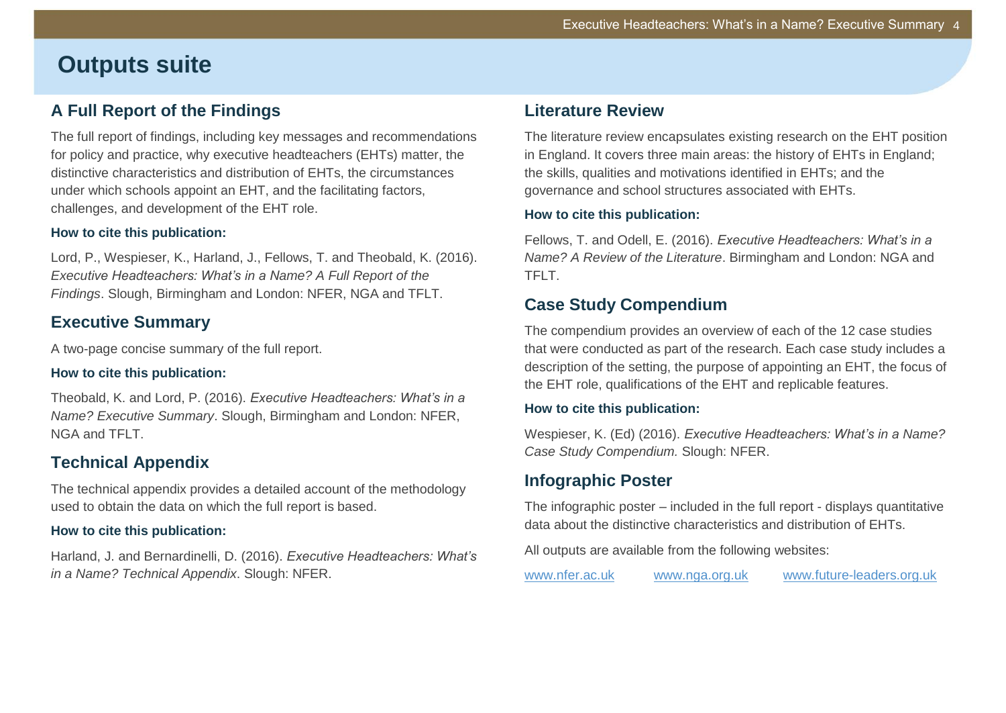# **Outputs suite**

# **A Full Report of the Findings**

The full report of findings, including key messages and recommendations for policy and practice, why executive headteachers (EHTs) matter, the distinctive characteristics and distribution of EHTs, the circumstances under which schools appoint an EHT, and the facilitating factors, challenges, and development of the EHT role.

#### **How to cite this publication:**

Lord, P., Wespieser, K., Harland, J., Fellows, T. and Theobald, K. (2016). *Executive Headteachers: What's in a Name? A Full Report of the Findings*. Slough, Birmingham and London: NFER, NGA and TFLT.

# **Executive Summary**

A two-page concise summary of the full report.

#### **How to cite this publication:**

Theobald, K. and Lord, P. (2016). *Executive Headteachers: What's in a Name? Executive Summary*. Slough, Birmingham and London: NFER, NGA and TFLT.

# **Technical Appendix**

The technical appendix provides a detailed account of the methodology used to obtain the data on which the full report is based.

#### **How to cite this publication:**

Harland, J. and Bernardinelli, D. (2016). *Executive Headteachers: What's in a Name? Technical Appendix*. Slough: NFER.

### **Literature Review**

The literature review encapsulates existing research on the EHT position in England. It covers three main areas: the history of EHTs in England; the skills, qualities and motivations identified in EHTs; and the governance and school structures associated with EHTs.

#### **How to cite this publication:**

Fellows, T. and Odell, E. (2016). *Executive Headteachers: What's in a Name? A Review of the Literature*. Birmingham and London: NGA and TFLT.

# **Case Study Compendium**

The compendium provides an overview of each of the 12 case studies that were conducted as part of the research. Each case study includes a description of the setting, the purpose of appointing an EHT, the focus of the EHT role, qualifications of the EHT and replicable features.

#### **How to cite this publication:**

Wespieser, K. (Ed) (2016). *Executive Headteachers: What's in a Name? Case Study Compendium.* Slough: NFER.

# **Infographic Poster**

The infographic poster – included in the full report - displays quantitative data about the distinctive characteristics and distribution of EHTs.

All outputs are available from the following websites:

[www.nfer.ac.uk](http://www.nfer.ac.uk/) [www.nga.org.uk](http://www.nga.org.uk/) [www.future-leaders.org.uk](http://www.future-leaders.org.uk/)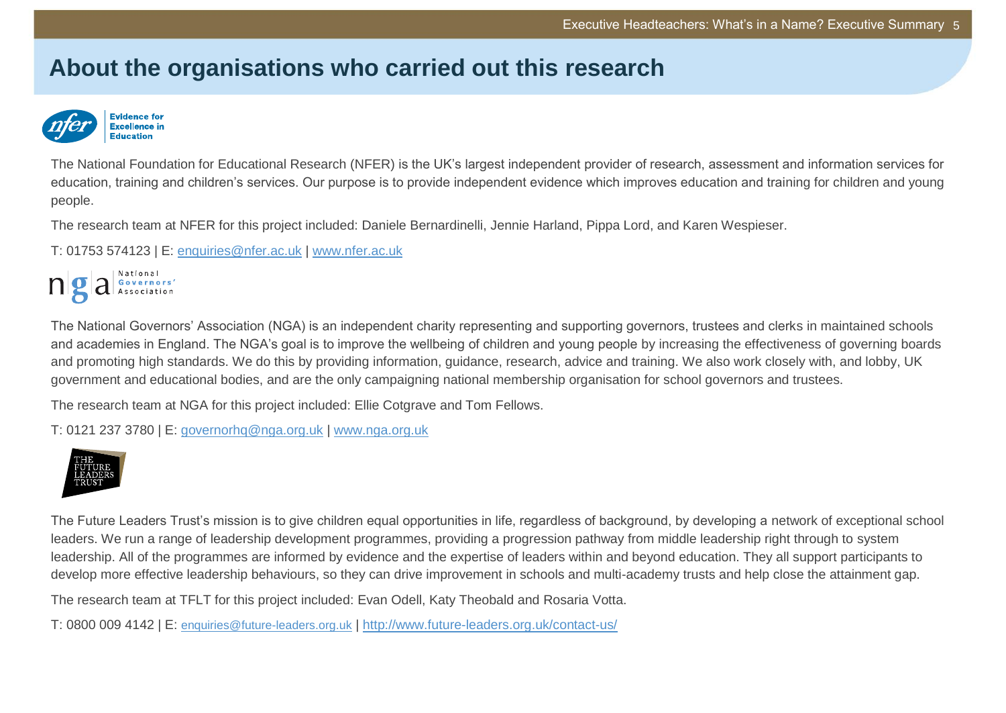# **About the organisations who carried out this research**



The National Foundation for Educational Research (NFER) is the UK's largest independent provider of research, assessment and information services for education, training and children's services. Our purpose is to provide independent evidence which improves education and training for children and young people.

The research team at NFER for this project included: Daniele Bernardinelli, Jennie Harland, Pippa Lord, and Karen Wespieser.

T: 01753 574123 | E: [enquiries@nfer.ac.uk](mailto:enquiries@nfer.ac.uk) | [www.nfer.ac.uk](http://www.nfer.ac.uk/)



The National Governors' Association (NGA) is an independent charity representing and supporting governors, trustees and clerks in maintained schools and academies in England. The NGA's goal is to improve the wellbeing of children and young people by increasing the effectiveness of governing boards and promoting high standards. We do this by providing information, guidance, research, advice and training. We also work closely with, and lobby, UK government and educational bodies, and are the only campaigning national membership organisation for school governors and trustees.

The research team at NGA for this project included: Ellie Cotgrave and Tom Fellows.

T: 0121 237 3780 | E: [governorhq@nga.org.uk](mailto:governorhq@nga.org.uk) | [www.nga.org.uk](file://Exchange/company/Communications/1%20Projects/025%20Guidance%20docs/www.nga.org.uk)



The Future Leaders Trust's mission is to give children equal opportunities in life, regardless of background, by developing a network of exceptional school leaders. We run a range of leadership development programmes, providing a progression pathway from middle leadership right through to system leadership. All of the programmes are informed by evidence and the expertise of leaders within and beyond education. They all support participants to develop more effective leadership behaviours, so they can drive improvement in schools and multi-academy trusts and help close the attainment gap.

The research team at TFLT for this project included: Evan Odell, Katy Theobald and Rosaria Votta.

T: 0800 009 4142 | E: [enquiries@future-leaders.org.uk](mailto:enquiries@future-leaders.org.uk) | <http://www.future-leaders.org.uk/contact-us/>